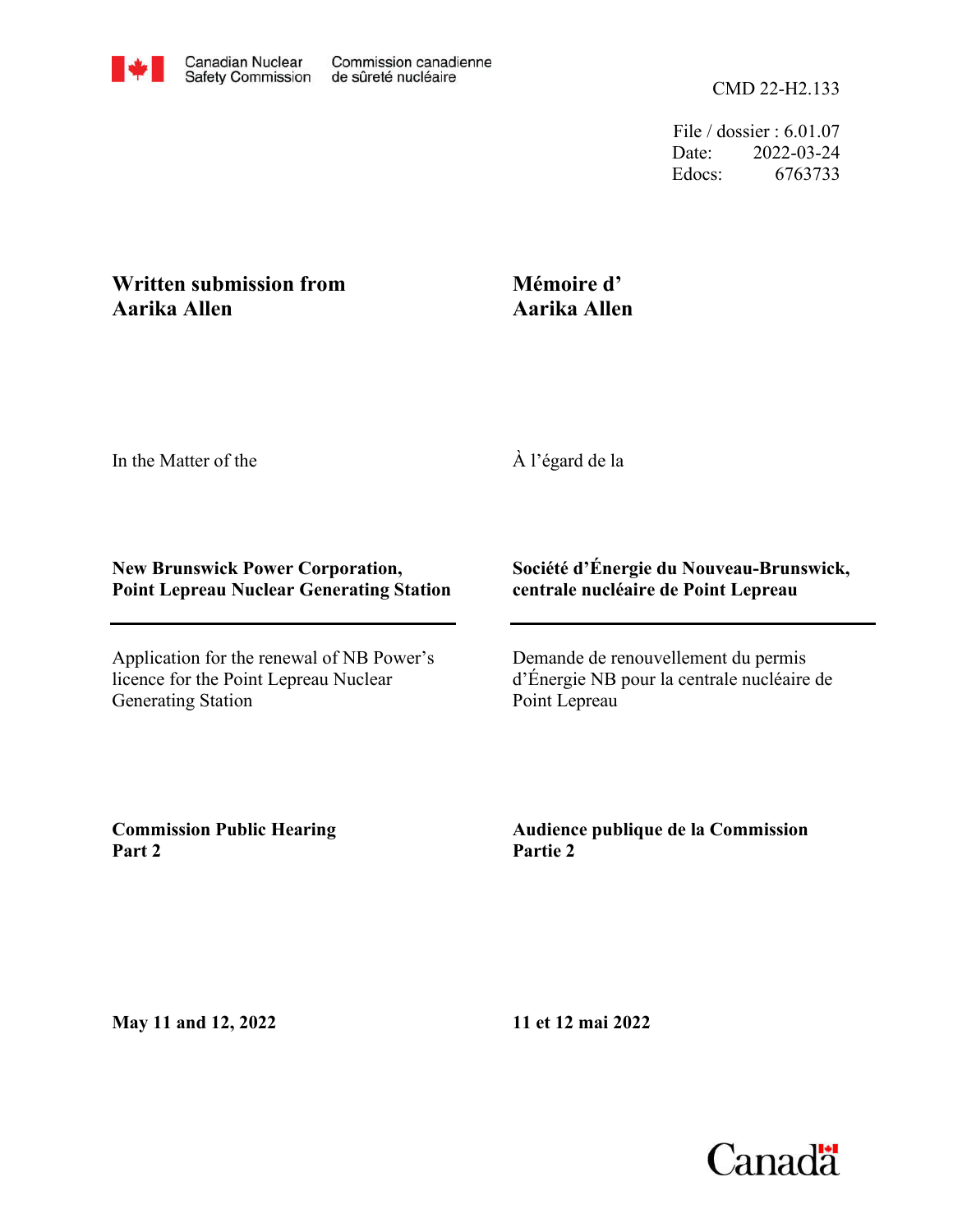

File / dossier : 6.01.07 Date: 2022-03-24 Edocs: 6763733

## **Written submission from Aarika Allen**

## **Mémoire d' Aarika Allen**

In the Matter of the

À l'égard de la

## **New Brunswick Power Corporation, Point Lepreau Nuclear Generating Station**

Application for the renewal of NB Power's licence for the Point Lepreau Nuclear Generating Station

## **Société d'Énergie du Nouveau-Brunswick, centrale nucléaire de Point Lepreau**

Demande de renouvellement du permis d'Énergie NB pour la centrale nucléaire de Point Lepreau

**Commission Public Hearing Part 2**

**Audience publique de la Commission Partie 2**

**May 11 and 12, 2022**

**11 et 12 mai 2022**